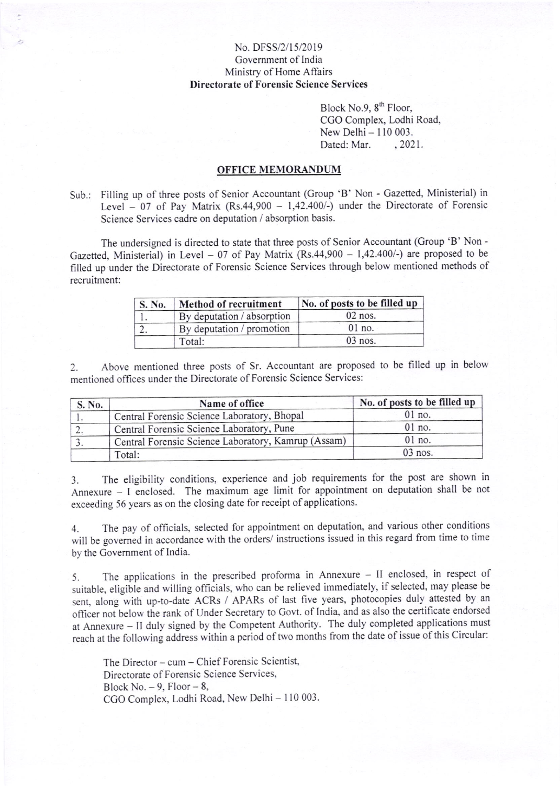## No. DFSS/2/15/2019 Govemment of India Ministry of Home Affairs Directorate of Forensic Science Services

Block No.9, 8<sup>th</sup> Floor, CCO Complex, Lodhi Road, New Delhi - 110 003.<br>Dated: Mar. 2021. Dated: Mar.

## OFFICE MEMORANDUM

Sub.: Filling up of three posts of Senior Accountant (Group 'B' Non - Gazetted, Ministerial) in Level  $-07$  of Pay Matrix (Rs.44,900  $-1,42.400/-$ ) under the Directorate of Forensic Science Services cadre on deputation / absorption basis.

The undersigned is directed to state that three posts of Senior Accountant (Group 'B' Non -Gazetted, Ministerial) in Level - 07 of Pay Matrix (Rs.44,900 - 1,42.400/-) are proposed to be filled up under the Directorate of Forensic Science Services through below mentioned methods of recruitment:

| S. No. | Method of recruitment      | No. of posts to be filled up |
|--------|----------------------------|------------------------------|
|        | By deputation / absorption | $02$ nos.                    |
|        | By deputation / promotion  | 01 no.                       |
|        | Total:                     | $03$ nos.                    |

2. Above mentioned three posts of Sr. Accountant are proposed to be filled up in below mentioned offices under the Directorate of Forensic Science Services:

| S. No. | Name of office                                      | No. of posts to be filled up |
|--------|-----------------------------------------------------|------------------------------|
|        | Central Forensic Science Laboratory, Bhopal         | $01$ no.                     |
| L.     | Central Forensic Science Laboratory, Pune           | $01$ no.                     |
|        | Central Forensic Science Laboratory, Kamrup (Assam) | $01$ no.                     |
|        | Total:                                              | 03 nos.                      |

3. The eligibility conditions, experience and job requirements for the post are shown in Annexure  $-$  I enclosed. The maximum age limit for appointment on deputation shall be not exceeding 56 years as on the closing date for receipt of applications.

4. The pay of officials, selected for appointment on deputation, and various other conditions will be governed in accordance with the orders/ instructions issued in this regard from time to time by the Govemment of lndia.

5. The applications in the prescribed proforma in Annexure - II enclosed, in respect of suitable, eligibie and willing officials, who can be relieved immediately, if selected, may please be sent, along-with up-to-date ACRs / APARs of last five years, photocopies duly attested by an officer not below the rank of Under Secretary to Govt. of India, and as also the certificate endorsed at Annexure - li duly signed by the Competent Authority. The duly completed applications must reach at the following address within a period of two months from the date of issue of this Circular:

The Director - cum - Chief Forensic Scientist, Directorate of Forensic Science Services, Block No.  $-9$ , Floor  $-8$ , CGO Complex, Lodhi Road, New Delhi - 110 003.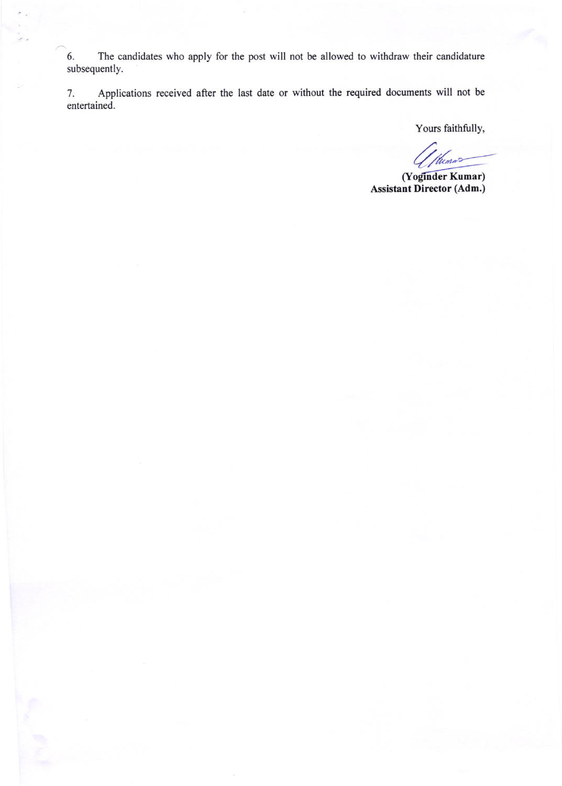6. The candidates who apply for the post will not be allowed to withdraw their candidature subsequently.

7. Apptications received after the last date or without the required documents will not be 7. Appl<br>entertained.

Yours faithfully,

(Wunner

(Yoginder Kumar) Assistant Director (Adm.)